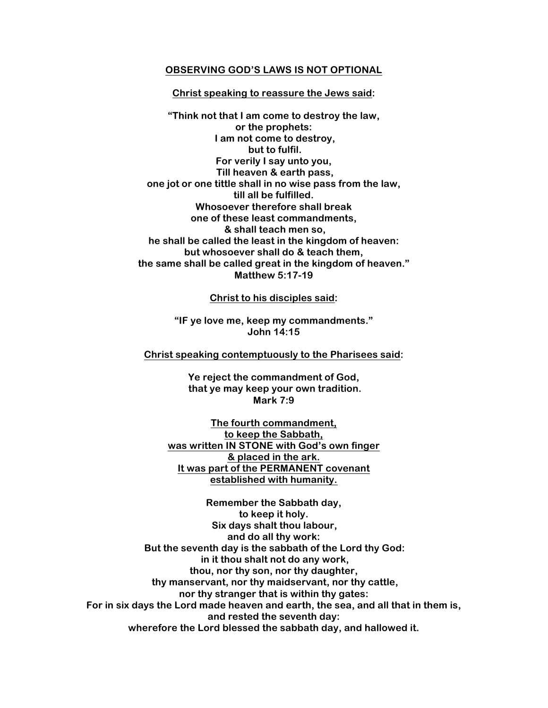#### **OBSERVING GOD'S LAWS IS NOT OPTIONAL**

# **Christ speaking to reassure the Jews said:**

**"Think not that I am come to destroy the law, or the prophets: I am not come to destroy, but to fulfil. For verily I say unto you, Till heaven & earth pass, one jot or one tittle shall in no wise pass from the law, till all be fulfilled. Whosoever therefore shall break one of these least commandments, & shall teach men so, he shall be called the least in the kingdom of heaven: but whosoever shall do & teach them, the same shall be called great in the kingdom of heaven." Matthew 5:17-19**

**Christ to his disciples said:**

**"IF ye love me, keep my commandments." John 14:15**

**Christ speaking contemptuously to the Pharisees said:**

**Ye reject the commandment of God, that ye may keep your own tradition. Mark 7:9**

**The fourth commandment, to keep the Sabbath, was written IN STONE with God's own finger & placed in the ark. It was part of the PERMANENT covenant established with humanity.**

**Remember the Sabbath day, to keep it holy. Six days shalt thou labour, and do all thy work: But the seventh day is the sabbath of the Lord thy God: in it thou shalt not do any work, thou, nor thy son, nor thy daughter, thy manservant, nor thy maidservant, nor thy cattle, nor thy stranger that is within thy gates: For in six days the Lord made heaven and earth, the sea, and all that in them is, and rested the seventh day: wherefore the Lord blessed the sabbath day, and hallowed it.**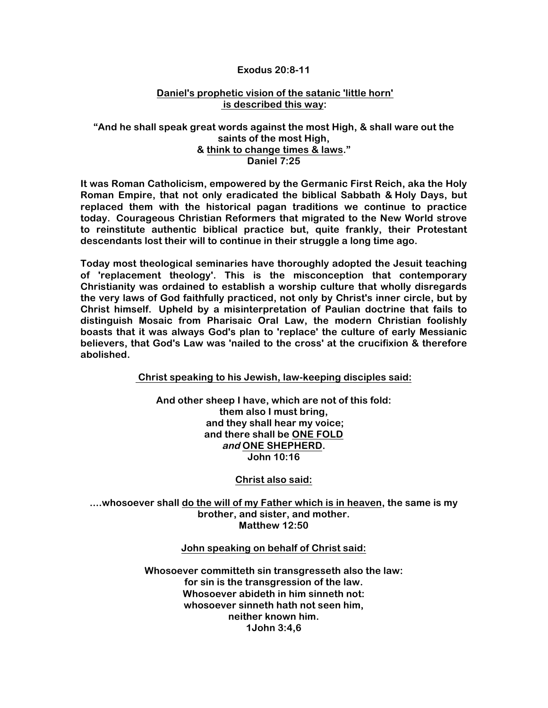### **Exodus 20:8-11**

# **Daniel's prophetic vision of the satanic 'little horn' is described this way:**

# **"And he shall speak great words against the most High, & shall ware out the saints of the most High, & think to change times & laws." Daniel 7:25**

**It was Roman Catholicism, empowered by the Germanic First Reich, aka the Holy Roman Empire, that not only eradicated the biblical Sabbath & Holy Days, but replaced them with the historical pagan traditions we continue to practice today. Courageous Christian Reformers that migrated to the New World strove to reinstitute authentic biblical practice but, quite frankly, their Protestant descendants lost their will to continue in their struggle a long time ago.**

**Today most theological seminaries have thoroughly adopted the Jesuit teaching of 'replacement theology'. This is the misconception that contemporary Christianity was ordained to establish a worship culture that wholly disregards the very laws of God faithfully practiced, not only by Christ's inner circle, but by Christ himself. Upheld by a misinterpretation of Paulian doctrine that fails to distinguish Mosaic from Pharisaic Oral Law, the modern Christian foolishly boasts that it was always God's plan to 'replace' the culture of early Messianic believers, that God's Law was 'nailed to the cross' at the crucifixion & therefore abolished.**

**Christ speaking to his Jewish, law-keeping disciples said:**

**And other sheep I have, which are not of this fold: them also I must bring, and they shall hear my voice; and there shall be ONE FOLD and ONE SHEPHERD. John 10:16**

**Christ also said:**

**....whosoever shall do the will of my Father which is in heaven, the same is my brother, and sister, and mother. Matthew 12:50**

**John speaking on behalf of Christ said:**

**Whosoever committeth sin transgresseth also the law: for sin is the transgression of the law. Whosoever abideth in him sinneth not: whosoever sinneth hath not seen him, neither known him. 1John 3:4,6**